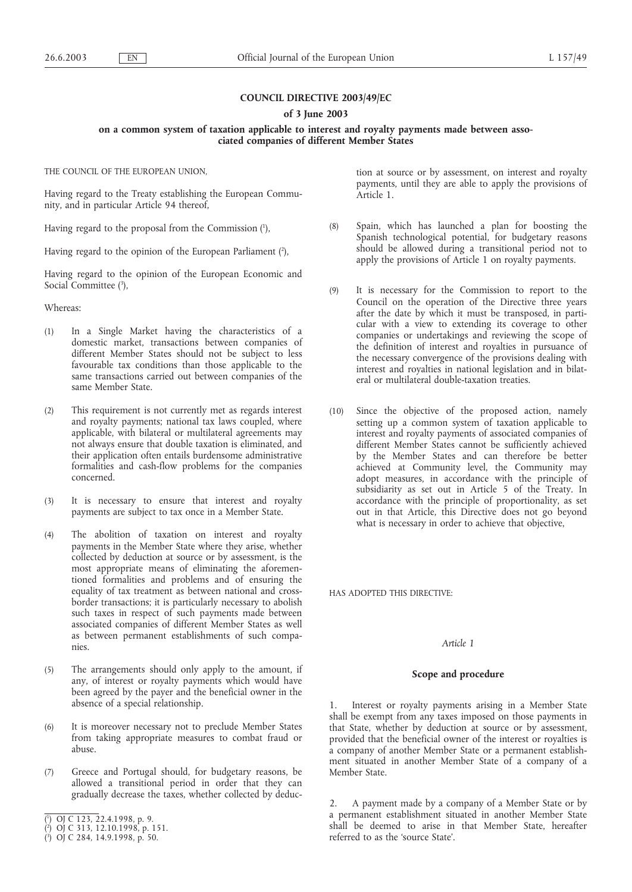# **COUNCIL DIRECTIVE 2003/49/EC**

**of 3 June 2003**

### **on a common system of taxation applicable to interest and royalty payments made between associated companies of different Member States**

THE COUNCIL OF THE EUROPEAN UNION,

Having regard to the Treaty establishing the European Community, and in particular Article 94 thereof,

Having regard to the proposal from the Commission (1 ),

Having regard to the opinion of the European Parliament (2),

Having regard to the opinion of the European Economic and Social Committee (3),

Whereas:

- (1) In a Single Market having the characteristics of a domestic market, transactions between companies of different Member States should not be subject to less favourable tax conditions than those applicable to the same transactions carried out between companies of the same Member State.
- (2) This requirement is not currently met as regards interest and royalty payments; national tax laws coupled, where applicable, with bilateral or multilateral agreements may not always ensure that double taxation is eliminated, and their application often entails burdensome administrative formalities and cash-flow problems for the companies concerned.
- (3) It is necessary to ensure that interest and royalty payments are subject to tax once in a Member State.
- (4) The abolition of taxation on interest and royalty payments in the Member State where they arise, whether collected by deduction at source or by assessment, is the most appropriate means of eliminating the aforementioned formalities and problems and of ensuring the equality of tax treatment as between national and crossborder transactions; it is particularly necessary to abolish such taxes in respect of such payments made between associated companies of different Member States as well as between permanent establishments of such companies.
- (5) The arrangements should only apply to the amount, if any, of interest or royalty payments which would have been agreed by the payer and the beneficial owner in the absence of a special relationship.
- (6) It is moreover necessary not to preclude Member States from taking appropriate measures to combat fraud or abuse.
- (7) Greece and Portugal should, for budgetary reasons, be allowed a transitional period in order that they can gradually decrease the taxes, whether collected by deduc-

tion at source or by assessment, on interest and royalty payments, until they are able to apply the provisions of Article 1.

- (8) Spain, which has launched a plan for boosting the Spanish technological potential, for budgetary reasons should be allowed during a transitional period not to apply the provisions of Article 1 on royalty payments.
- (9) It is necessary for the Commission to report to the Council on the operation of the Directive three years after the date by which it must be transposed, in particular with a view to extending its coverage to other companies or undertakings and reviewing the scope of the definition of interest and royalties in pursuance of the necessary convergence of the provisions dealing with interest and royalties in national legislation and in bilateral or multilateral double-taxation treaties.
- (10) Since the objective of the proposed action, namely setting up a common system of taxation applicable to interest and royalty payments of associated companies of different Member States cannot be sufficiently achieved by the Member States and can therefore be better achieved at Community level, the Community may adopt measures, in accordance with the principle of subsidiarity as set out in Article 5 of the Treaty. In accordance with the principle of proportionality, as set out in that Article, this Directive does not go beyond what is necessary in order to achieve that objective,

HAS ADOPTED THIS DIRECTIVE:

# *Article 1*

#### **Scope and procedure**

1. Interest or royalty payments arising in a Member State shall be exempt from any taxes imposed on those payments in that State, whether by deduction at source or by assessment, provided that the beneficial owner of the interest or royalties is a company of another Member State or a permanent establishment situated in another Member State of a company of a Member State.

2. A payment made by a company of a Member State or by a permanent establishment situated in another Member State shall be deemed to arise in that Member State, hereafter referred to as the 'source State'.

<sup>(</sup> 1 ) OJ C 123, 22.4.1998, p. 9.

<sup>(</sup> 2 ) OJ C 313, 12.10.1998, p. 151.

<sup>(</sup> 3 ) OJ C 284, 14.9.1998, p. 50.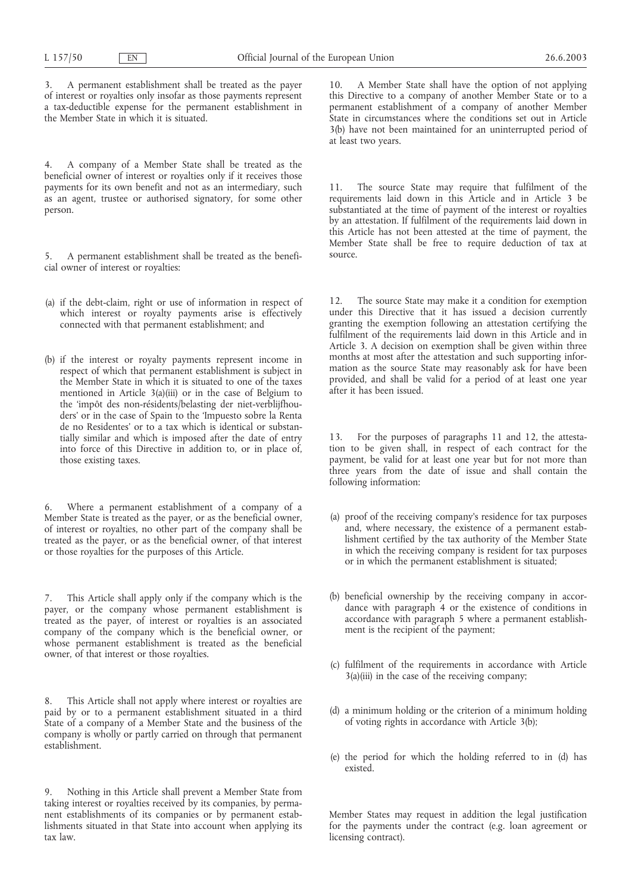3. A permanent establishment shall be treated as the payer of interest or royalties only insofar as those payments represent a tax-deductible expense for the permanent establishment in the Member State in which it is situated.

4. A company of a Member State shall be treated as the beneficial owner of interest or royalties only if it receives those payments for its own benefit and not as an intermediary, such as an agent, trustee or authorised signatory, for some other person.

5. A permanent establishment shall be treated as the beneficial owner of interest or royalties:

- (a) if the debt-claim, right or use of information in respect of which interest or royalty payments arise is effectively connected with that permanent establishment; and
- (b) if the interest or royalty payments represent income in respect of which that permanent establishment is subject in the Member State in which it is situated to one of the taxes mentioned in Article 3(a)(iii) or in the case of Belgium to the 'impôt des non-résidents/belasting der niet-verblijfhouders' or in the case of Spain to the 'Impuesto sobre la Renta de no Residentes' or to a tax which is identical or substantially similar and which is imposed after the date of entry into force of this Directive in addition to, or in place of, those existing taxes.

6. Where a permanent establishment of a company of a Member State is treated as the payer, or as the beneficial owner, of interest or royalties, no other part of the company shall be treated as the payer, or as the beneficial owner, of that interest or those royalties for the purposes of this Article.

7. This Article shall apply only if the company which is the payer, or the company whose permanent establishment is treated as the payer, of interest or royalties is an associated company of the company which is the beneficial owner, or whose permanent establishment is treated as the beneficial owner, of that interest or those royalties.

8. This Article shall not apply where interest or royalties are paid by or to a permanent establishment situated in a third State of a company of a Member State and the business of the company is wholly or partly carried on through that permanent establishment.

9. Nothing in this Article shall prevent a Member State from taking interest or royalties received by its companies, by permanent establishments of its companies or by permanent establishments situated in that State into account when applying its tax law.

10. A Member State shall have the option of not applying this Directive to a company of another Member State or to a permanent establishment of a company of another Member State in circumstances where the conditions set out in Article 3(b) have not been maintained for an uninterrupted period of at least two years.

The source State may require that fulfilment of the requirements laid down in this Article and in Article 3 be substantiated at the time of payment of the interest or royalties by an attestation. If fulfilment of the requirements laid down in this Article has not been attested at the time of payment, the Member State shall be free to require deduction of tax at source.

12. The source State may make it a condition for exemption under this Directive that it has issued a decision currently granting the exemption following an attestation certifying the fulfilment of the requirements laid down in this Article and in Article 3. A decision on exemption shall be given within three months at most after the attestation and such supporting information as the source State may reasonably ask for have been provided, and shall be valid for a period of at least one year after it has been issued.

13. For the purposes of paragraphs 11 and 12, the attestation to be given shall, in respect of each contract for the payment, be valid for at least one year but for not more than three years from the date of issue and shall contain the following information:

- (a) proof of the receiving company's residence for tax purposes and, where necessary, the existence of a permanent establishment certified by the tax authority of the Member State in which the receiving company is resident for tax purposes or in which the permanent establishment is situated;
- (b) beneficial ownership by the receiving company in accordance with paragraph 4 or the existence of conditions in accordance with paragraph 5 where a permanent establishment is the recipient of the payment;
- (c) fulfilment of the requirements in accordance with Article 3(a)(iii) in the case of the receiving company;
- (d) a minimum holding or the criterion of a minimum holding of voting rights in accordance with Article 3(b);
- (e) the period for which the holding referred to in (d) has existed.

Member States may request in addition the legal justification for the payments under the contract (e.g. loan agreement or licensing contract).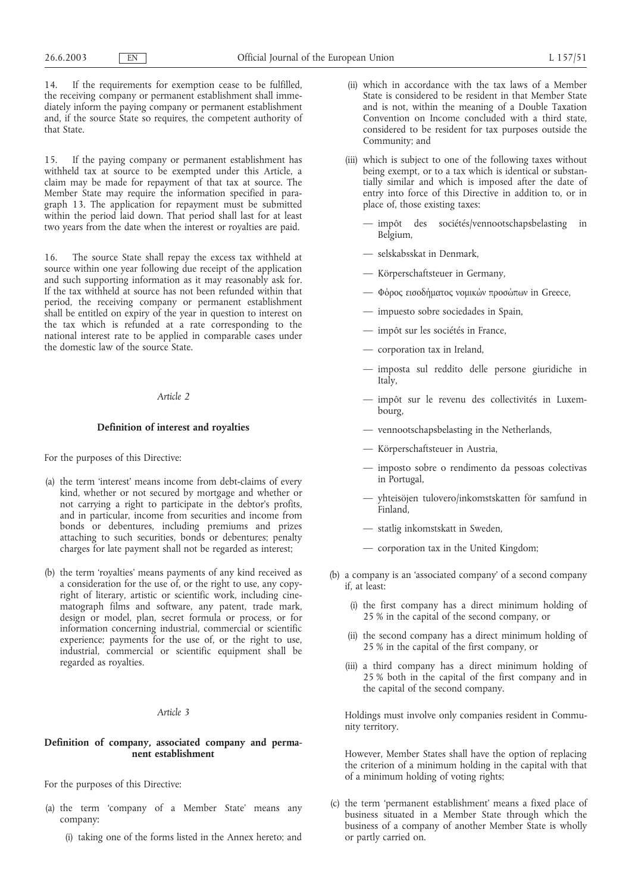14. If the requirements for exemption cease to be fulfilled, the receiving company or permanent establishment shall immediately inform the paying company or permanent establishment and, if the source State so requires, the competent authority of that State.

15. If the paying company or permanent establishment has withheld tax at source to be exempted under this Article, a claim may be made for repayment of that tax at source. The Member State may require the information specified in paragraph 13. The application for repayment must be submitted within the period laid down. That period shall last for at least two years from the date when the interest or royalties are paid.

16. The source State shall repay the excess tax withheld at source within one year following due receipt of the application and such supporting information as it may reasonably ask for. If the tax withheld at source has not been refunded within that period, the receiving company or permanent establishment shall be entitled on expiry of the year in question to interest on the tax which is refunded at a rate corresponding to the national interest rate to be applied in comparable cases under the domestic law of the source State.

### *Article 2*

### **Definition of interest and royalties**

For the purposes of this Directive:

- (a) the term 'interest' means income from debt-claims of every kind, whether or not secured by mortgage and whether or not carrying a right to participate in the debtor's profits, and in particular, income from securities and income from bonds or debentures, including premiums and prizes attaching to such securities, bonds or debentures; penalty charges for late payment shall not be regarded as interest;
- (b) the term 'royalties' means payments of any kind received as a consideration for the use of, or the right to use, any copyright of literary, artistic or scientific work, including cinematograph films and software, any patent, trade mark, design or model, plan, secret formula or process, or for information concerning industrial, commercial or scientific experience; payments for the use of, or the right to use, industrial, commercial or scientific equipment shall be regarded as royalties.

## *Article 3*

# **Definition of company, associated company and permanent establishment**

For the purposes of this Directive:

- (a) the term 'company of a Member State' means any company:
	- (i) taking one of the forms listed in the Annex hereto; and
- (ii) which in accordance with the tax laws of a Member State is considered to be resident in that Member State and is not, within the meaning of a Double Taxation Convention on Income concluded with a third state, considered to be resident for tax purposes outside the Community; and
- (iii) which is subject to one of the following taxes without being exempt, or to a tax which is identical or substantially similar and which is imposed after the date of entry into force of this Directive in addition to, or in place of, those existing taxes:
	- impôt des sociétés/vennootschapsbelasting in Belgium,
	- selskabsskat in Denmark,
	- Körperschaftsteuer in Germany,
	- Φόρος εισοδήµατος νοµικών προσώπων in Greece,
	- impuesto sobre sociedades in Spain,
	- impôt sur les sociétés in France,
	- corporation tax in Ireland,
	- imposta sul reddito delle persone giuridiche in Italy,
	- impôt sur le revenu des collectivités in Luxembourg,
	- vennootschapsbelasting in the Netherlands,
	- Körperschaftsteuer in Austria,
	- imposto sobre o rendimento da pessoas colectivas in Portugal,
	- yhteisöjen tulovero/inkomstskatten för samfund in Finland,
	- statlig inkomstskatt in Sweden,
	- corporation tax in the United Kingdom;
- (b) a company is an 'associated company' of a second company if, at least:
	- (i) the first company has a direct minimum holding of 25 % in the capital of the second company, or
	- (ii) the second company has a direct minimum holding of 25 % in the capital of the first company, or
	- (iii) a third company has a direct minimum holding of 25 % both in the capital of the first company and in the capital of the second company.

Holdings must involve only companies resident in Community territory.

However, Member States shall have the option of replacing the criterion of a minimum holding in the capital with that of a minimum holding of voting rights;

(c) the term 'permanent establishment' means a fixed place of business situated in a Member State through which the business of a company of another Member State is wholly or partly carried on.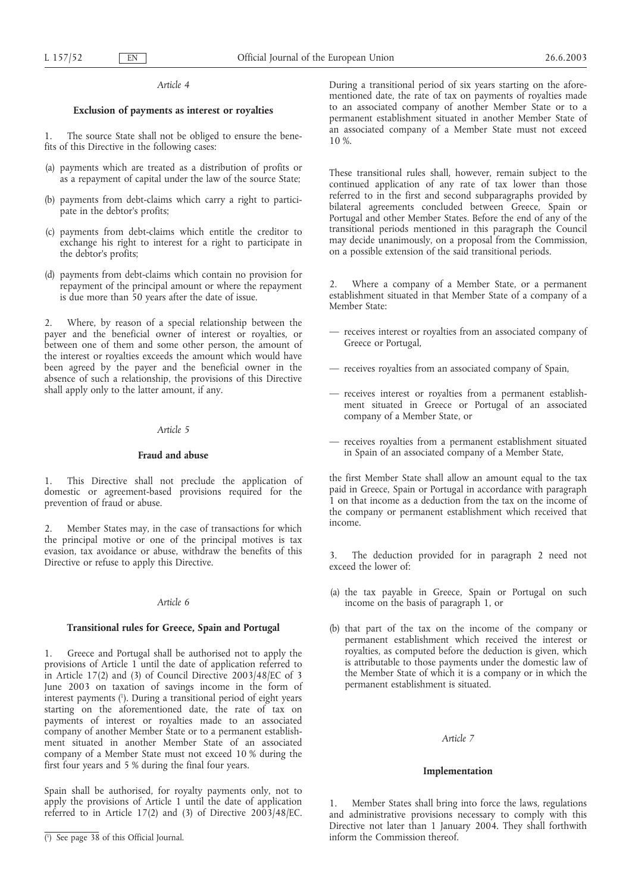*Article 4*

# **Exclusion of payments as interest or royalties**

The source State shall not be obliged to ensure the benefits of this Directive in the following cases:

- (a) payments which are treated as a distribution of profits or as a repayment of capital under the law of the source State;
- (b) payments from debt-claims which carry a right to participate in the debtor's profits;
- (c) payments from debt-claims which entitle the creditor to exchange his right to interest for a right to participate in the debtor's profits;
- (d) payments from debt-claims which contain no provision for repayment of the principal amount or where the repayment is due more than 50 years after the date of issue.

2. Where, by reason of a special relationship between the payer and the beneficial owner of interest or royalties, or between one of them and some other person, the amount of the interest or royalties exceeds the amount which would have been agreed by the payer and the beneficial owner in the absence of such a relationship, the provisions of this Directive shall apply only to the latter amount, if any.

### *Article 5*

#### **Fraud and abuse**

This Directive shall not preclude the application of domestic or agreement-based provisions required for the prevention of fraud or abuse.

2. Member States may, in the case of transactions for which the principal motive or one of the principal motives is tax evasion, tax avoidance or abuse, withdraw the benefits of this Directive or refuse to apply this Directive.

### *Article 6*

### **Transitional rules for Greece, Spain and Portugal**

Greece and Portugal shall be authorised not to apply the provisions of Article 1 until the date of application referred to in Article 17(2) and (3) of Council Directive 2003/48/EC of 3 June 2003 on taxation of savings income in the form of interest payments (1 ). During a transitional period of eight years starting on the aforementioned date, the rate of tax on payments of interest or royalties made to an associated company of another Member State or to a permanent establishment situated in another Member State of an associated company of a Member State must not exceed 10 % during the first four years and 5 % during the final four years.

Spain shall be authorised, for royalty payments only, not to apply the provisions of Article 1 until the date of application referred to in Article 17(2) and (3) of Directive 2003/48/EC.

During a transitional period of six years starting on the aforementioned date, the rate of tax on payments of royalties made to an associated company of another Member State or to a permanent establishment situated in another Member State of an associated company of a Member State must not exceed 10 %.

These transitional rules shall, however, remain subject to the continued application of any rate of tax lower than those referred to in the first and second subparagraphs provided by bilateral agreements concluded between Greece, Spain or Portugal and other Member States. Before the end of any of the transitional periods mentioned in this paragraph the Council may decide unanimously, on a proposal from the Commission, on a possible extension of the said transitional periods.

2. Where a company of a Member State, or a permanent establishment situated in that Member State of a company of a Member State:

- receives interest or royalties from an associated company of Greece or Portugal,
- receives royalties from an associated company of Spain,
- receives interest or royalties from a permanent establishment situated in Greece or Portugal of an associated company of a Member State, or
- receives royalties from a permanent establishment situated in Spain of an associated company of a Member State,

the first Member State shall allow an amount equal to the tax paid in Greece, Spain or Portugal in accordance with paragraph 1 on that income as a deduction from the tax on the income of the company or permanent establishment which received that income.

3. The deduction provided for in paragraph 2 need not exceed the lower of:

- (a) the tax payable in Greece, Spain or Portugal on such income on the basis of paragraph 1, or
- (b) that part of the tax on the income of the company or permanent establishment which received the interest or royalties, as computed before the deduction is given, which is attributable to those payments under the domestic law of the Member State of which it is a company or in which the permanent establishment is situated.

#### *Article 7*

# **Implementation**

1. Member States shall bring into force the laws, regulations and administrative provisions necessary to comply with this Directive not later than 1 January 2004. They shall forthwith inform the Commission thereof.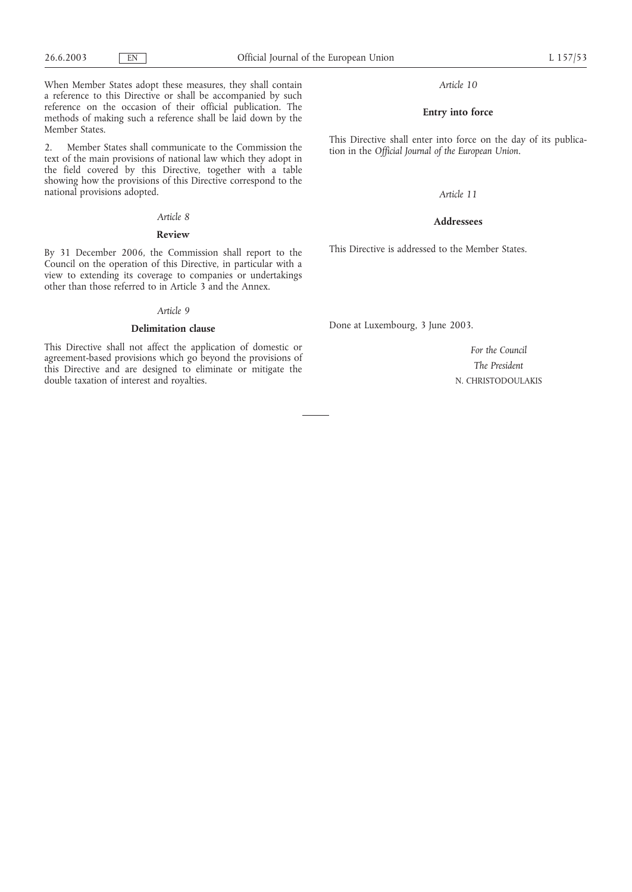When Member States adopt these measures, they shall contain a reference to this Directive or shall be accompanied by such reference on the occasion of their official publication. The methods of making such a reference shall be laid down by the Member States.

2. Member States shall communicate to the Commission the text of the main provisions of national law which they adopt in the field covered by this Directive, together with a table showing how the provisions of this Directive correspond to the national provisions adopted.

#### *Article 8*

#### **Review**

By 31 December 2006, the Commission shall report to the Council on the operation of this Directive, in particular with a view to extending its coverage to companies or undertakings other than those referred to in Article 3 and the Annex.

### *Article 9*

### **Delimitation clause**

This Directive shall not affect the application of domestic or agreement-based provisions which go beyond the provisions of this Directive and are designed to eliminate or mitigate the double taxation of interest and royalties.

### *Article 10*

# **Entry into force**

This Directive shall enter into force on the day of its publication in the *Official Journal of the European Union*.

*Article 11*

# **Addressees**

This Directive is addressed to the Member States.

Done at Luxembourg, 3 June 2003.

*For the Council The President* N. CHRISTODOULAKIS